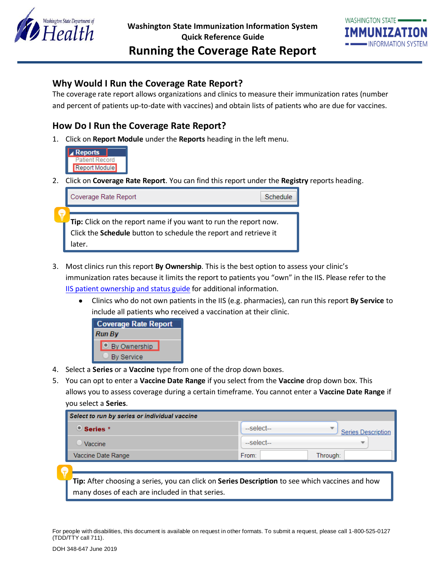



# **Why Would I Run the Coverage Rate Report?**

The coverage rate report allows organizations and clinics to measure their immunization rates (number and percent of patients up-to-date with vaccines) and obtain lists of patients who are due for vaccines.

## **How Do I Run the Coverage Rate Report?**

1. Click on **Report Module** under the **Reports** heading in the left menu.



2. Click on **Coverage Rate Report**. You can find this report under the **Registry** reports heading.



- 3. Most clinics run this report **By Ownership**. This is the best option to assess your clinic's immunization rates because it limits the report to patients you "own" in the IIS. Please refer to the [IIS patient ownership and status guide](https://www.doh.wa.gov/Portals/1/Documents/8200/348-619-ManagingPatientStatus.pdf) for additional information.
	- Clinics who do not own patients in the IIS (e.g. pharmacies), can run this report **By Service** to include all patients who received a vaccination at their clinic.

| <b>Coverage Rate Report</b> |
|-----------------------------|
| <b>Run By</b>               |
| By Ownership                |
| <b>By Service</b>           |

- 4. Select a **Series** or a **Vaccine** type from one of the drop down boxes.
- 5. You can opt to enter a **Vaccine Date Range** if you select from the **Vaccine** drop down box. This allows you to assess coverage during a certain timeframe. You cannot enter a **Vaccine Date Range** if you select a **Series**.

| Select to run by series or individual vaccine |            |                                |  |  |  |  |  |
|-----------------------------------------------|------------|--------------------------------|--|--|--|--|--|
| $\bullet$ Series $^*$                         | --select-- | ₩<br><b>Series Description</b> |  |  |  |  |  |
| Vaccine                                       | $-select$  |                                |  |  |  |  |  |
| Vaccine Date Range                            | From:      | Through:                       |  |  |  |  |  |

**Tip:** After choosing a series, you can click on **Series Description** to see which vaccines and how many doses of each are included in that series.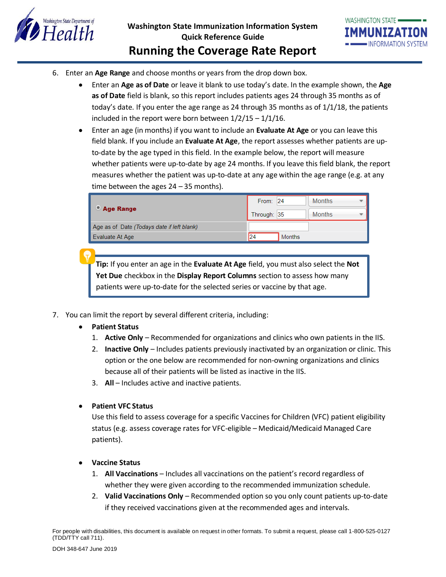

- 6. Enter an **Age Range** and choose months or years from the drop down box.
	- Enter an **Age as of Date** or leave it blank to use today's date. In the example shown, the **Age as of Date** field is blank, so this report includes patients ages 24 through 35 months as of today's date. If you enter the age range as 24 through 35 months as of 1/1/18, the patients included in the report were born between  $1/2/15 - 1/1/16$ .
	- Enter an age (in months) if you want to include an **Evaluate At Age** or you can leave this field blank. If you include an **Evaluate At Age**, the report assesses whether patients are upto-date by the age typed in this field. In the example below, the report will measure whether patients were up-to-date by age 24 months. If you leave this field blank, the report measures whether the patient was up-to-date at any age within the age range (e.g. at any time between the ages 24 – 35 months).

|                                            | From: 24            | <b>Months</b> |
|--------------------------------------------|---------------------|---------------|
| Age Range                                  | Through: 35         | <b>Months</b> |
| Age as of Date (Todays date if left blank) |                     |               |
| Evaluate At Age                            | 24<br><b>Months</b> |               |

**Tip:** If you enter an age in the **Evaluate At Age** field, you must also select the **Not Yet Due** checkbox in the **Display Report Columns** section to assess how many patients were up-to-date for the selected series or vaccine by that age.

- 7. You can limit the report by several different criteria, including:
	- **Patient Status**
		- 1. **Active Only**  Recommended for organizations and clinics who own patients in the IIS.
		- 2. **Inactive Only** Includes patients previously inactivated by an organization or clinic. This option or the one below are recommended for non-owning organizations and clinics because all of their patients will be listed as inactive in the IIS.
		- 3. **All** Includes active and inactive patients.
	- **Patient VFC Status**

Use this field to assess coverage for a specific Vaccines for Children (VFC) patient eligibility status (e.g. assess coverage rates for VFC-eligible – Medicaid/Medicaid Managed Care patients).

- **Vaccine Status**
	- 1. **All Vaccinations** Includes all vaccinations on the patient's record regardless of whether they were given according to the recommended immunization schedule.
	- 2. **Valid Vaccinations Only**  Recommended option so you only count patients up-to-date if they received vaccinations given at the recommended ages and intervals.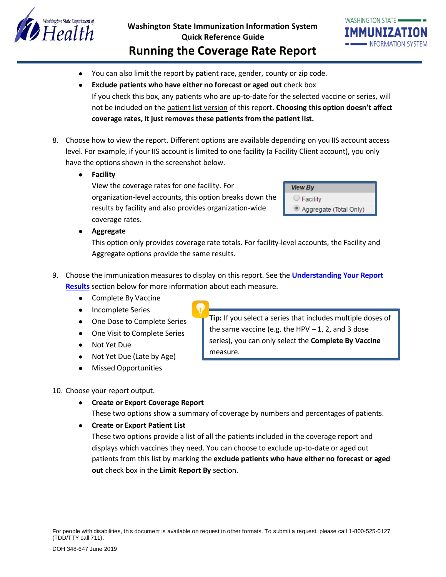

# **Washington State Immunization Information System Quick Reference Guide Running the Coverage Rate Report**

- You can also limit the report by patient race, gender, county or zip code.
- **Exclude patients who have either no forecast or aged out** check box If you check this box, any patients who are up-to-date for the selected vaccine or series, will not be included on the patient list version of this report. **Choosing this option doesn't affect coverage rates, it just removes these patients from the patient list.**
- 8. Choose how to view the report. Different options are available depending on you IIS account access level. For example, if your IIS account is limited to one facility (a Facility Client account), you only have the options shown in the screenshot below.
	- **Facility**

View the coverage rates for one facility. For organization-level accounts, this option breaks down the results by facility and also provides organization-wide coverage rates.

| <b>View By</b>         |
|------------------------|
| $\cup$ Facility        |
| Aggregate (Total Only) |

**Aggregate**

This option only provides coverage rate totals. For facility-level accounts, the Facility and Aggregate options provide the same results.

- 9. Choose the immunization measures to display on this report. See the **[Understanding Your Report](#page-3-0)  [Results](#page-3-0)** section below for more information about each measure.
	- Complete By Vaccine
	- Incomplete Series
	- One Dose to Complete Series
	- One Visit to Complete Series
	- Not Yet Due
	- Not Yet Due (Late by Age)
	- Missed Opportunities

10. Choose your report output.

- **Create or Export Coverage Report**
	- These two options show a summary of coverage by numbers and percentages of patients.
- **Create or Export Patient List**

These two options provide a list of all the patients included in the coverage report and displays which vaccines they need. You can choose to exclude up-to-date or aged out patients from this list by marking the **exclude patients who have either no forecast or aged out** check box in the **Limit Report By** section.

**Tip:** If you select a series that includes multiple doses of the same vaccine (e.g. the HPV  $-1$ , 2, and 3 dose series), you can only select the **Complete By Vaccine** measure.

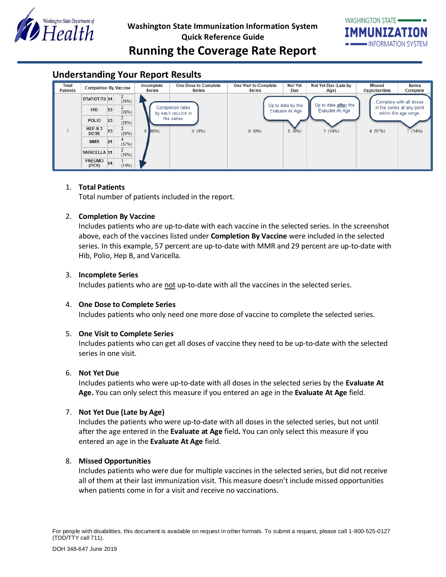



# <span id="page-3-0"></span>**Understanding Your Report Results**

| Total<br><b>Patients</b> | <b>Completion By Vaccine</b> |          | Incomplete<br><b>Series</b> | <b>One Dose to Complete</b><br>Series | <b>One Visit to Complete</b><br><b>Series</b> | <b>Not Yet</b><br><b>Due</b> | Not Yet Due (Late by<br>Age) | Missed<br>Opportunities     | <b>Series</b><br>Complete |                                                     |
|--------------------------|------------------------------|----------|-----------------------------|---------------------------------------|-----------------------------------------------|------------------------------|------------------------------|-----------------------------|---------------------------|-----------------------------------------------------|
|                          | DTaP/DT/Td ≥4                |          | $\mathbf{2}$<br>(29%)       |                                       |                                               | Up to date by the            |                              | Up to date <b>after</b> the | Complete with all doses   |                                                     |
|                          | <b>HIB</b>                   | $\geq$ 3 | 2.<br>(29%)                 |                                       | Completion rates<br>by each vaccine in        |                              | Evaluate At Age              | Evaluate At Age             |                           | in the series at any point<br>within the age range. |
|                          | <b>POLIO</b>                 | $\geq$ 3 | 2.<br>(29%)                 | the series                            |                                               |                              |                              |                             |                           |                                                     |
|                          | $HEP-B3$<br><b>DOSE</b>      | $\geq$ 3 | $\overline{2}$<br>(29%)     | $6 \, 86\%$                           | $0(0\%)$                                      | $0(0\%)$                     | $0(0\%)$                     | 1(14%)                      | 4 (57%)                   | (14%)                                               |
|                          | <b>MMR</b>                   | $\geq 1$ | 4<br>(57%)                  |                                       |                                               |                              |                              |                             |                           |                                                     |
|                          | <b>VARICELLA ≥1</b>          |          | $\overline{2}$<br>(29%)     |                                       |                                               |                              |                              |                             |                           |                                                     |
|                          | <b>PNEUMO</b><br>(PCV)       | $\geq 4$ | (14%)                       |                                       |                                               |                              |                              |                             |                           |                                                     |

#### 1. **Total Patients**

Total number of patients included in the report.

## 2. **Completion By Vaccine**

Includes patients who are up-to-date with each vaccine in the selected series. In the screenshot above, each of the vaccines listed under **Completion By Vaccine** were included in the selected series. In this example, 57 percent are up-to-date with MMR and 29 percent are up-to-date with Hib, Polio, Hep B, and Varicella.

### 3. **Incomplete Series**

Includes patients who are not up-to-date with all the vaccines in the selected series.

#### 4. **One Dose to Complete Series**

Includes patients who only need one more dose of vaccine to complete the selected series.

#### 5. **One Visit to Complete Series**

Includes patients who can get all doses of vaccine they need to be up-to-date with the selected series in one visit.

### 6. **Not Yet Due**

Includes patients who were up-to-date with all doses in the selected series by the **Evaluate At Age.** You can only select this measure if you entered an age in the **Evaluate At Age** field.

#### 7. **Not Yet Due (Late by Age)**

Includes the patients who were up-to-date with all doses in the selected series, but not until after the age entered in the **Evaluate at Age** field**.** You can only select this measure if you entered an age in the **Evaluate At Age** field.

## 8. **Missed Opportunities**

Includes patients who were due for multiple vaccines in the selected series, but did not receive all of them at their last immunization visit. This measure doesn't include missed opportunities when patients come in for a visit and receive no vaccinations.